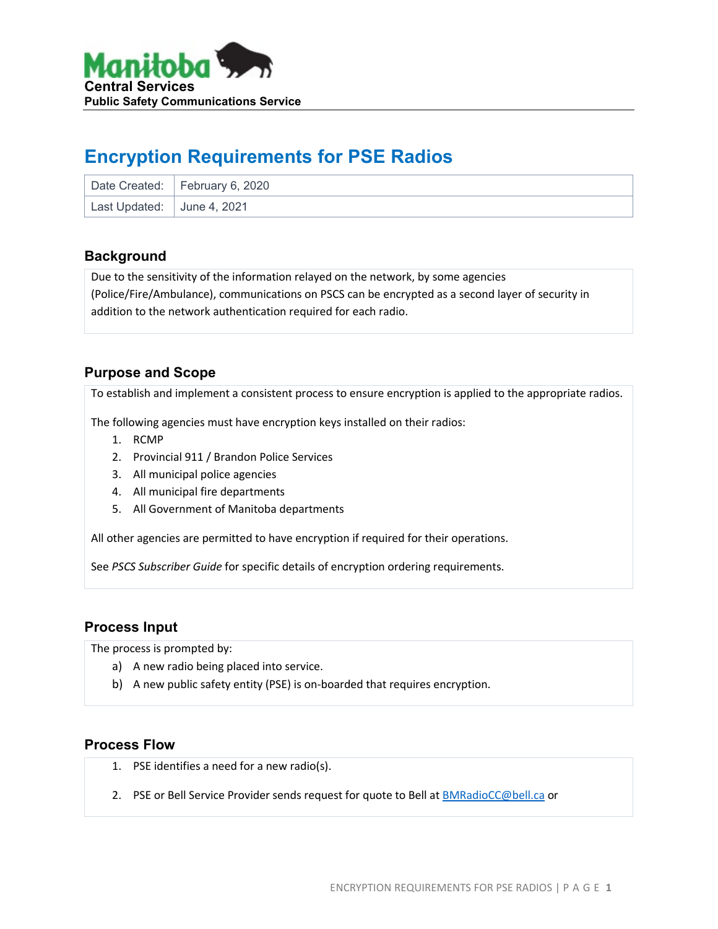

# **Encryption Requirements for PSE Radios**

|                            | Date Created: February 6, 2020 |
|----------------------------|--------------------------------|
| Last Updated: June 4, 2021 |                                |

#### **Background**

Due to the sensitivity of the information relayed on the network, by some agencies (Police/Fire/Ambulance), communications on PSCS can be encrypted as a second layer of security in addition to the network authentication required for each radio.

### **Purpose and Scope**

To establish and implement a consistent process to ensure encryption is applied to the appropriate radios.

The following agencies must have encryption keys installed on their radios:

- 1. RCMP
- 2. Provincial 911 / Brandon Police Services
- 3. All municipal police agencies
- 4. All municipal fire departments
- 5. All Government of Manitoba departments

All other agencies are permitted to have encryption if required for their operations.

See *PSCS Subscriber Guide* for specific details of encryption ordering requirements.

#### **Process Input**

The process is prompted by:

- a) A new radio being placed into service.
- b) A new public safety entity (PSE) is on-boarded that requires encryption.

#### **Process Flow**

- 1. PSE identifies a need for a new radio(s).
- 2. PSE or Bell Service Provider sends request for quote to Bell a[t BMRadioCC@bell.ca](mailto:BMRadioCC@bell.ca) or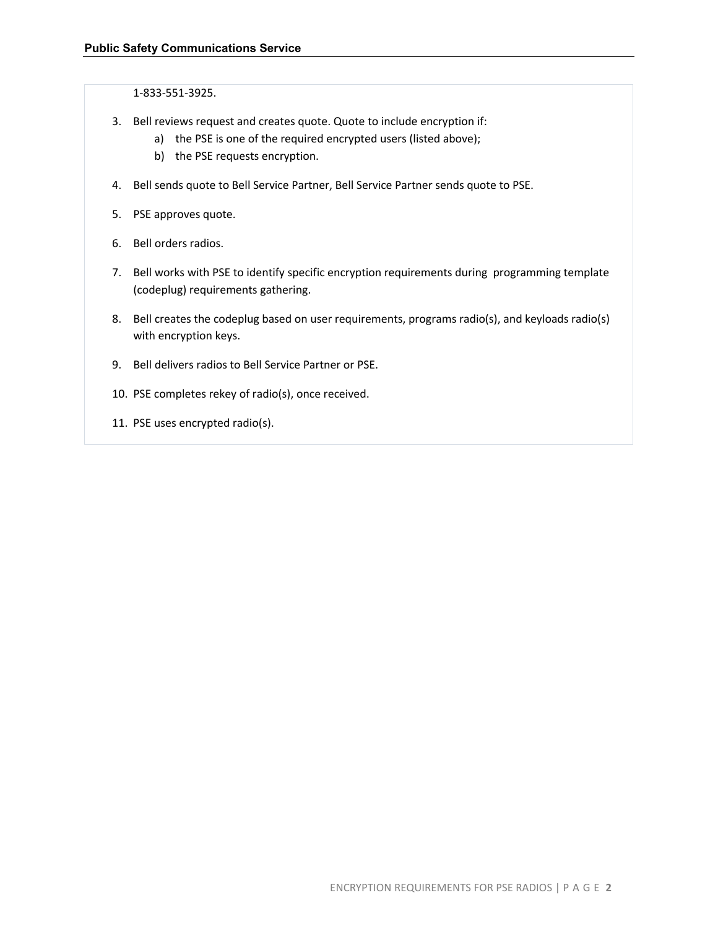1-833-551-3925.

- 3. Bell reviews request and creates quote. Quote to include encryption if:
	- a) the PSE is one of the required encrypted users (listed above);
	- b) the PSE requests encryption.
- 4. Bell sends quote to Bell Service Partner, Bell Service Partner sends quote to PSE.
- 5. PSE approves quote.
- 6. Bell orders radios.
- 7. Bell works with PSE to identify specific encryption requirements during programming template (codeplug) requirements gathering.
- 8. Bell creates the codeplug based on user requirements, programs radio(s), and keyloads radio(s) with encryption keys.
- 9. Bell delivers radios to Bell Service Partner or PSE.
- 10. PSE completes rekey of radio(s), once received.
- 11. PSE uses encrypted radio(s).